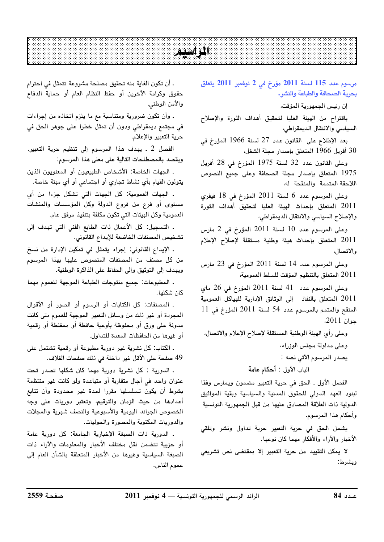## -

 $2011$  115 لسنة 2011 مؤرخ في 2 نوفمبر 2011 يتعلق بحرية الصحافة والطباعة والنشر.

إن رئيس الجمهورية المؤقت،

.<br>باقتراح من الهيئة العليا لتحقيق أهداف الثورة والإصلاح السياسي والانتقال الديمقراطي،

.<br>يعد الإطلاع على القانون عدد 27 لسنة 1966 المؤرخ في 30 أفريل 1966 المتعلق بإصدار مجلة الشغل،

وعلى القانون عدد 32 لسنة 1975 المؤرخ في 28 أفريل .<br>1975 المتعلق بإصدار مجلة الصحافة وعلى جميع النصوص اللاحقة المتممة والمنقحة له،

وعلى المرسوم عدد 6 لسنة 2011 المؤرخ في 18 فيفرى .<br>2011 المتعلق بإحداث الهيئة العليا لتحقيق أهداف الثورة والإصلاح السياسي والانتقال الديمقراطي،

وعلى المرسوم عدد 10 لسنة 2011 المؤرخ في 2 مارس .<br>2011 المتعلق بإحداث هيئة وطنية مستقلة لإصلاح الإعلام والاتصال،

وعلى المرسوم عدد 14 لسنة 2011 المؤرخ في 23 مارس .<br>2011 المتعلق بالتنظيم المؤقت للسلط العمومية،

وعلى المرسوم عدد 41 لسنة 2011 المؤرخ في 26 ماي .<br>2011 المتعلق بالنفاذ الى الوثائق الإدارية للهباكل العمومية  $11$  المنقح والمتمم بالمرسوم عدد 54 لسنة 2011 المؤرخ في  $11$ جوان 2011*.* 

وعلى رأي الهيئة الوطنية المستقلة لإصلاح الإعلام والاتصال، وعلى مداولة مجلس الوزراء، يصدر المرسوم الآتي نصه :

الباب الأول : أ<mark>حكام عامة</mark>

الفصل الأول ـ الحق في حربة التعيين مضمون ويمارس وفقا لينوس العهد الدولي للحقوق المدنية والسياسية ويقية المواثبق الدولية ذات العلاقة المصادق عليها من قبل الجمهورية التونسية وأحكام هذا المرسوم.

.<br>يشمل الحق في حربة التعبير حربة تداول ونشر وتلقي الأخبار والآراء والأفكار مهما كان نوعها.

لا يمكن التقييد من حربة التعيد الا يمقتضى نص تشريعي ، ىشى ط:

. أن تكون الغاية منه تحقيق مصلحة مشروعة تتمثل في احترام حقوق وكرامة الآخرين أو حفظ النظام العام أو حماية الدفاع والأمن الوطني.

. وأن تكون ضرورية ومتناسبة مع ما يلزم اتخاذه من إجراءات .<br>في مجتمع ديمقراطي ودون أن تمثل خطرا على جوهر الحق في حرية التعبير والإعلام.

الفصل 2 . يهدف هذا المرسوم إلى تنظيم حرية التعبير. ويقصد بالمصطلحات التالية على معنى هذا المرسوم:

. الجهات الخاصة: الأشخاص الطبيعيون أو المعنويون الذين .<br>يتولون القيام بأي نشاط تجاري أو اجتماعي أو أي مهنة خاصة.

ـ الجهات العمومية: كل الجهات التي تشكل جزءا من أي مستوى أو فرع من فروع الدولة وكل المؤسسات والمنشآت .<br>العمومية وكل الهيئات التي تكون مكلفة بتنفيذ مرفق عام.

. التسجيل: كل الأعمال ذات الطابع الفني التي تهدف الي تشخيص المصنفات الخاضعة للإيداع القانوني.

ـ الإيداع القانوني: إجراء يتمثل في تمكين الإدارة من نسخ .<br>من كل مصنف من المصنفات المنصوص عليها بهذا المرسوم .<br>ويهدف إلى التوثيق وإلى الحفاظ على الذاكرة الوطنية.

. المطبوعات: جميع منتوجات الطباعة الموجهة للعموم مهما كان شكلها.

. المصنفات: كل الكتابات أو الرسوم أو الصور أو الأقوال المجردة أو غير ذلك من وسائل التعبير الموجهة للعموم متى كانت مدونة على ورق أو محفوظة بأوعبة حافظة أو ممغنطة أو رقمية أو غيرها من الحافظات المعدة للتداول.

ـ الكتاب: كل نشرية غير دورية مطبوعة أو رقمية تشتمل على 49 صفحة على الأقل غير داخلة في ذلك صفحات الغلاف.

. الدورية : كل نشرية دورية مهما كان شكلها تصدر تحت .<br>عنوان واحد في أحال متقاربة أو متباعدة ولو كانت غد منتظمة .<br>يشرط أن يكون تسلسلها مقررا لمدة غير محدودة وأن تتابع أعدادها من حيث الزمان والترقيم، وتعتبر دوريات على وجه الخصوص الجرائد اليومية والأسبوعية والنصف شهرية والمجلات والدوريات المكتوبة والمصورة والحوليات.

 <sup>2011</sup> <sup>4</sup> –– !=0
)0>?
.
%( <sup>84</sup> . الدورية ذات الصبغة الإخبارية الجامعة: كل دورية عامة أو جزيبة تتضمن نقل مختلف الأخيار والمعلومات والآراء ذات الصيغة السياسية وغدها من الأخيار المتعلقة بالشأن العام الي عموم الناس.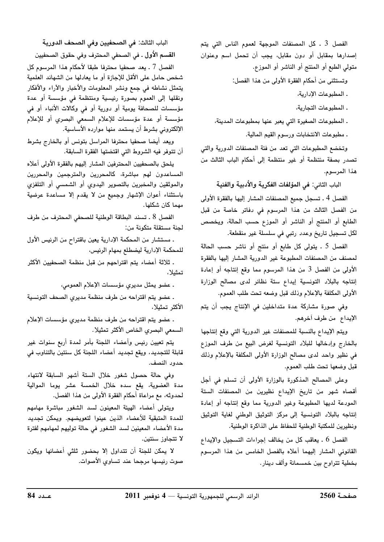الفصل 3 . كل المصنفات الموجهة لعموم الناس التي يتم إصدارها بمقابل أو دون مقابل، يجب أن تحمل اسم وعنوان متولى الطبع أو المنتج أو الناشر أو الموزع.

وتستثنى من أحكام الفقرة الأولى من هذا الفصل:

. المطبوعات الإدارية،

. المطبوعات التجارية،

ـ المطبوعات الصغيرة التي يعبر عنها بمطبوعات المدينة، ـ مطبوعات الانتخابات ورسوم القيم المالية.

وتخضع المطبوعات التى تعد من فئة المصنفات الدورية والتى تصدر بصفة منتظمة أو غير منتظمة إلى أحكام الباب الثالث من هذا المرسوم.

الباب الثاني: في المؤلفات الفكرية والأدبية والفنية

الفصل 4 ـ تسجل جميع المصنفات المشار إليها بالفقرة الأولى من الفصل الثالث من هذا المرسوم في دفاتر خاصة من قبل الطابع أو المنتج أو الناشر أو الموزع حسب الحالة، ويخصص لكل تسجيل تاريخ وعدد رتبي في سلسلة غير منقطعة.

الفصل 5 ـ يتولى كل طابع أو منتج أو ناشر حسب الحالة لمصنف من المصنفات المطبوعة غير الدورية المشار إليها بالفقرة الأولى من الفصل 3 من هذا المرسوم مما وقع إنتاجه أو إعادة إنتاجه بالبلاد التونسية إيداع ستة نظائر لدى مصالح الوزارة الأولى المكلفة بالإعلام وذلك قبل وضعه تحت طلب العموم.

وفي صورة مشاركة عدة متداخلين في الإنتاج يجب أن يتم الإيداع من طرف أخرهم.

ويتم الإيداع بالنسبة للمصنفات غير الدورية التي وقع إنتاجها بالخارج وإدخالها للبلاد التونسية لغرض البيع من طرف الموزع في نظير واحد لدى مصالح الوزارة الأولى المكلفة بالإعلام وذلك قبل وضعها تحت طلب العموم.

وعلى المصالح المذكورة بالوزارة الأولى أن تسلم فى أجل أقصاه شهر من تاريخ الإيداع نظيرين من المصنفات الستة المودعة لديها المطبوعة وغير الدورية مما وقع إنتاجه أو إعادة إنتاجه بالبلاد التونسية إلى مركز التوثيق الوطني لغاية التوثيق ونظيرين للمكتبة الوطنية للحفاظ على الذاكرة الوطنية.

الفصل 6 . يعاقب كل من يخالف إجراءات التسجيل والإيداع القانوني المشار إليهما أعلاه بالفصل الخامس من هذا المرسوم بخطية تتراوح بين خمسمائة وألف دينار.

الباب الثالث: في الصحفيين وفي الصحف الدورية القسم الأول . في الصحفي المحترف وفي حقوق الصحفيين الفصل 7 ـ يعد صحفيا محترفا طبقا لأحكام هذا المرسوم كل شخص حامل على الأقل للإجازة أو ما يعادلها من الشهائد العلمية يتمثل نشاطه في جمع ونشر المعلومات والأخبار والآراء والأفكار ونقلها إلى العموم بصورة رئيسية ومنتظمة فى مؤسسة أو عدة مؤسسات للصحافة يومية أو دورية أو فى وكالات الأنباء أو فى مؤسسة أو عدة مؤسسات للإعلام السمعي البصري أو للإعلام الإلكتروني بشرط أن يستمد منها موارده الأساسية.

ويعد أيضا صحفيا محترفا المراسل بتونس أو بالخارج بشرط أن تتوفر فيه الشروط التي اقتضتها الفقرة السابقة.

يلحق بالصحفيين المحترفين المشار إليهم بالفقرة الأولى أعلاه المساعدون لهم مباشرة، كالمحررين والمترجمين والمحررين والموثقين والمخبرين بالتصوير اليدوي أو الشمسى أو التلفزي باستثناء أعوان الإشهار وجميع من لا يقدم إلا مساعدة عرضية مهما كان شكلها.

الفصل 8 . تسند البطاقة الوطنية للصحفى المحترف من طرف لجنة مستقلة متكونة من:

. مستشار من المحكمة الإدارية يعين باقتراح من الرئيس الأول للمحكمة الإدارية ليضطلع بمهام الرئيس،

. ثلاثة أعضاء يتم اقتراحهم من قبل منظمة الصحفيين الأكثر تمثىلا،

ـ عضو يمثل مديري مؤسسات الإعلام العمومي،

. عضو يتم اقتراحه من طرف منظمة مديرى الصحف التونسية الأكثر تمثيلا،

. عضو يتم اقتراحه من طرف منظمة مديري مؤسسات الإعلام السمعي البصري الخاص الأكثر تمثيلا.

يتم تعيين رئيس وأعضاء اللجنة بأمر لمدة أربع سنوات غير قابلة للتجديد، ويقع تجديد أعضاء اللجنة كل سنتين بالتناوب في حدود النصف.

وفى حالة حصول شغور خلال الستة أشهر السابقة لانتهاء مدة العضوية، يقع سده خلال الخمسة عشر يوما الموالية لحدوثه، مع مراعاة أحكام الفقرة الأولى من هذا الفصل.

ويتولى أعضاء الهيئة المعينون لسد الشغور مباشرة مهامهم للمدة المتبقية للأعضاء الذين عينوا لتعويضهم. ويمكن تجديد مدة الأعضاء المعينين لسد الشغور في حالة توليهم لمهامهم لفترة لا تتجاوز سنتين.

لا يمكن للجنة أن تتداول إلا بحضور ثلثى أعضائها ويكون صوت رئيسها مرجحا عند تساوى الأصوات.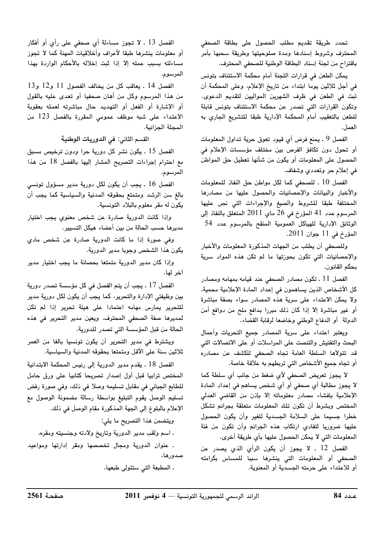.<br>تحدد طريقة تقديم مطلب الحصول على بطاقة الصحف . .<br>المحترف وشروط اسنادها ومدة صلوحيتها وطريقة سحيها يأمر .<br>ياقتراح من لحنة اسناب البطاقة الوطنية للصحفي المحترف.

يمكن الطعن في قرارات اللجنة أمام محكمة الاستئناف بتونس .<br>في أجل ثلاثين بوما ابتداء من تاريخ الإعلام، وعلى المحكمة أن تبت في الطعن في ظرف الشهرين المواليين لتقديم الدعوى. .<br>وتكون القرارات التي تصدر عن محكمة الاستئناف بتونس قابلة للطعن بالتعقيب أمام المحكمة الإدارية طبقا للتشريع الجاري به العمل.

الفصل 9 ـ يمنع فرض أي قيود تعوق حرية تداول المعلومات .<br>أو تحول دون تكافؤ الفرص بين مختلف مؤسسات الإعلام في الحصول على المعلومات أو يكون من شأنها تعطيل حق المواطن في إعلام حر وتعددي وشفاف.

الفصل 10 . للصحف كما لكل مواطن حق النفاذ للمعلومات والأخبار والبيانات والإحصائيات والحصول عليها من مصادرها المختلفة طبقا للشروط والصيغ والإجراءات التي نص عليها المرسوم عدد 41 المؤرخ في 26 ماي 2011 المتعلق بالنفاذ الي الوثائق الإدارية للهياكل العمومية المنقح بالمرسوم عدد 54 المؤرخ في 11 جوان 2011.

وللصحفي أن يطلب من الجهات المذكورة المعلومات والأخبار .<br>والاحصائيات التي تكون بجوزتها ما لم تكن هذه المواد سربة يحكم القانون.

الفصل 11 ـ تكون مصادر الصحف عند قيامه بمهامه ومصادر كل الأشخاص الذين يساهمون في إعداد المادة الإعلامية محمية، .<br>ولا يمكن الاعتداء على سرية هذه المصادر سواء يصفة مباشرة .<br>أو غد مباشرة الا إذا كان ذلك مدرا بدافع ملح من دوافع أمن .<br>الدولة أو الدفاء الوطني وخاضعا لرقابة القضاء.

ويعتبر اعتداء على سرية المصادر جميع التحريات وأعمال البحث والتفتيش والتنصت على المراسلات أو على الاتصالات التي قد تتولاها السلطة العامة تجاه الصحفى للكشف عن مصادره .<br>أو تحاه جميع الأشخاص التي تربطهم به علاقة خاصة.

لا يجوز تعريض الصحفى لأي ضغط من جانب أي سلطة كما لا يجوز مطالبة أي صحفي أو أي شخص يساهم في إعداد المادة الإعلامية بإفشاء مصادر معلوماته إلا بإذن من القاضى العدلى المختص ويشرط أن تكون تلك المعلومات متعلقة يحرائم تشكل خطرا جسيما على السلامة الجسدية للغير وأن يكون الحصول عليها ضروريا لتفادي ارتكاب هذه الجرائم وأن تكون من فئة المعلومات التي لا يمكّن الحصول عليها بأي طريقة أخرى.

 <sup>2011</sup> <sup>4</sup> –– !=0
)0>?
.
%( <sup>84</sup> الفصل 12 . لا يجوز أن يكون الرأي الذي يصدر عن الصحفي أو المعلومات التي ينشرها سببا للمساس بكرامته أو للاعتداء على حرمته الجسدية أو المعنوية.

الفصل 13 . لا تجوز مساءلة أي صحفى على رأي أو أفكار أو معلومات ينشرها طبقا لأعراف وأخلاقيات المهنة كما لا تجوز مساءلته بسبب عمله الا إذا ثبت إخلاله بالأحكام الواردة بهذا المرسوم.

الفصل 14 . يعاقب كل من يخالف الفصول 11 و12 و13 من هذا المرسوم وكل من أهان صحفيا أو تعد*ى* عليه بالقول .<br>أو الإشارة أو الُفعل أو التهديد حال مباشرته لعمله بعقوبة الاعتداء على شبه موظف عمومي المقررة بالفصل 123 من المجلة الجزائية.

القسم الثاني: <mark>في الدوريات الوطنية</mark>

الفصل 15 ـ يكون نشر كل دورية جرا ودون ترخيص مسبق .<br>مع احترام إحراءات التصريح المشار البها بالفصل 18 من هذا المرسوم.

الفصل 16 . يجب أن يكون لكل دورية مدير مسؤول تونسي .<br>بالغ سن الرشد ومتمتع بحقوقه المدنية والسياسية كما يجب أن ت<br>يكون له مقر معلوم بالبلاد التونسية.

وإذا كانت الدورية صادرة عن شخص معنوى يجب اختيار مدد ها حسب الحالة من بين أعضاء هيكل التسبير .

وفى صورة إذا ما كانت الدورية صادرة عن شخص مادى .<br>يكون هذا الشخص وجوبا مدبر الدورية.

واذا كان مدبر الدورية متمتعا بحصانة ما يجب اختبار مدبر آخر لها.

الفصل 17 ـ يجب أن يتم الفصل في كل مؤسسة تصدر دورية سن وظيفتي الإدارة والتجرير، كما يجب أن يكون لكل دورية مدير للتحرير يمارس مهامه اعتمادا على هيئة تحرير إذا لم تكن لمديرها صفة الصحفى المحترف، ويعين مدير التحرير فى هذه الحالة من قبل المؤسسة التي تصدر للدورية.

ويشترط في مدير التجرير أن يكون تونسيا بالغا من العمر .<br>ثلاثين سنة على الأقل ومتمتعا يحقوقه المدنية والسياسية.

الفصل 18 ـ بقدم مدير الدورية الى رئيس المحكمة الابتدائية المختص ترابيا قبل أول إصدار تصريحا كتابيا على ورق حامل .<br>للطابع الجبائي في مقابل تسليمه وصلا في ذلك، وفي صورة رفض .<br>تسليم الوصل يقوم التبليغ بواسطة رسالة مضمونة الوصول مع الإعلام بالبلوغ إلى الحقة المذكورة مقام الوصل في ذلك.

ويتضمن هذا التصريح ما يلي:

. اسم ولقب مدير الدورية وتاريخ ولادته وجنسيته ومقره،

 dJ ^#)%T ـ عنوان الدورية ومجال تخصصها ومقر إدارتها ومواعيد

ـ المطبعة التي ستتولى طبعها،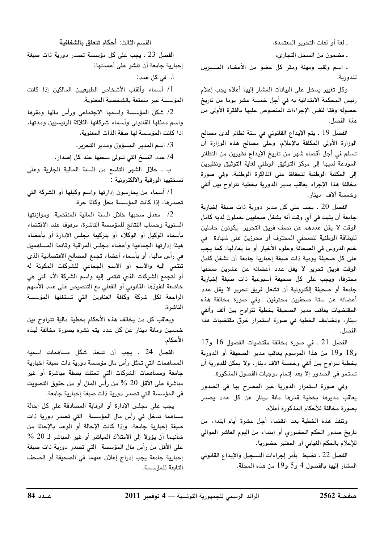ـ لغة أو لغات التحرير المعتمدة،

ـ مضمون من السجل التجاري،

. اسم ولقب ومهنة ومقر كل عضو من الأعضاء المسيرين للدورية.

وكل تغيير يدخل على البيانات المشار إليها أعلاه يجب إعلام رئيس المحكمة الابتدائية به في أجل خمسة عشر يوما من تاريخ حصوله وفقا لنفس الإجراءات المنصوص عليها بالفقرة الأولى من هذا الفصل.

الفصل 19 . يتم الإيداع القانوني في ستة نظائر لدى مصالح الوزارة الأولى المكلفة بالإعلام، وعلى مصالح هذه الوزارة أن تسلم في أجل أقصاه شهر من تاريخ الإيداع نظيرين من النظائر المودعة لديها إلى مركز التوثيق الوطنى لغاية التوثيق ونظيرين إلى المكتبة الوطنية للحفاظ على الذاكرة الوطنية، وفى صورة مخالفة هذا الإجراء يعاقب مدير الدورية بخطية تتراوح بين ألفى وخمسة ألاف دينار.

الفصل 20 . يجب على كل مدير دورية ذات صبغة إخبارية جامعة أن يثبت في أي وقت أنه يشغل صحفيين يعملون لديه كامل الوقت لا يقل عددهم عن نصف فريق التحرير، يكونون حاملين للبطاقة الوطنية للصحفى المحترف أو محرزين على شهادة في ختم الدروس في الصحافة وعلوم الأخبار أو ما يعادلها، كما يجب على كل صحيفة يومية ذات صبغة إخبارية جامعة أن تشغل كامل الوقت فريق تحرير لا يقل عدد أعضائه عن عشرين صحفيا محترفا، ويجب على كل صحيفة أسبوعية ذات صبغة إخبارية جامعة أو صحيفة إلكترونية أن تشغل فريق تحرير لا يقل عدد أعضائه عن ستة صحفيين محترفين. وفي صورة مخالفة هذه المقتضيات يعاقب مدير الصحيفة بخطية تتراوح بين ألف وألفي دينار، وتضاعف الخطية في صورة استمرار خرق مقتضيات هذا الفصل.

الفصل 21 ـ في صورة مخالفة مقتضيات الفصول 16 و17 و18 و19 من هذا المرسوم يعاقب مدير الصحيفة أو الدورية بخطية تتراوح بين ألفي وخمسة آلاف دينار. ولا يمكن للدورية أن تستمر في الصدور إلا بعد إتمام موجبات الفصول المذكورة.

وفي صورة استمرار الدورية غير المصرح بها في الصدور يعاقب مديرها بخطية قدرها مائة دينار عن كل عدد يصدر بصورة مخالفة للأحكام المذكورة أعلاه.

وتنفذ هذه الخطية بعد انقضاء أجل عشرة أيام ابتداء من تاريخ صدور الحكم الحضوري أو ابتداء من اليوم العاشر الموالى للإعلام بالحكم الغيابي أو المعتبر حضوريا.

الفصل 22 ـ تضبط بأمر إجراءات التسجيل والإيداع القانوني المشار إليها بالفصول 4 و5 و19 من هذه المجلة.

القسم الثالث: أحكام تتعلق بالشفافية

الفصل 23 ـ يجب على كل مؤسسة تصدر دورية ذات صبغة إخبارية جامعة أن تنشر على أعمدتها:

أ. في كل عدد:

1/ أسماء وألقاب الأشخاص الطبيعيين المالكين إذا كانت المؤسسة غير متمتعة بالشخصية المعنوية،

2/ شكل المؤسسة واسمها الاجتماعي ورأس مالها ومقرها واسم ممثلها القانونى وأسماء شركائها الثلاثة الرئيسيين ومدتها، إذا كانت المؤسسة لها صفة الذات المعنوية،

3/ اسم المدير المسؤول ومدير التحرير،

4/ عدد النسخ التي تتولى سحبها عند كل إصدار.

ب ـ خلال الشهر التاسع من السنة المالية الجارية وعلى نسختيها الورقية والالكترونية :

1/ أسماء من يمارسون إدارتها واسم وكيلها أو الشركة التي تصدرها، إذا كانت المؤسسة محل وكالة حرة،

2/ معدل سحبها خلال السنة المالية المنقضية، وموازنتها السنوية وحساب النتائج للمؤسسة الناشرة، مرفوقا عند الاقتضاء بأسماء الوكيل أو الوكلاء أو بتركيبة مجلس الإدارة أو بأعضاء هيئة إدارتها الجماعية وأعضاء مجلس المراقبة وقائمة المساهمين في رأس مالها، أو بأسماء أعضاء تجمع المصالح الاقتصادية الذي تنتمي إليه والاسم أو الاسم الجماعي للشركات المكونة له أو لتجمع الشركات الذي تنتمى إليه واسم الشركة الأم التى هى خاضعة لنفوذها القانوني أو الفعلي مع التنصيص على عدد الأسهم الراجعة لكل شركة وكافة العناوين التى تستغلها المؤسسة الناشرة.

ويعاقب كل من يخالف هذه الأحكام بخطية مالية تتراوح بين خمسين ومائة دينار عن كل عدد يتم نشره بصورة مخالفة لهذه الأحكام.

الفصل 24 ـ يجب أن تتخذ شكل مساهمات اسمية المساهمات التي تمثل رأس مال مؤسسة دورية ذات صبغة إخبارية جامعة ومساهمات الشركات التى تمتلك بصفة مباشرة أو غير مباشرة على الأقل 20 % من رأس المال أو من حقوق التصويت في المؤسسة التي تصدر دورية ذات صبغة إخبارية جامعة.

يجب على مجلس الإدارة أو الرقابة المصادقة على كل إحالة مساهمة تدخل فى رأس مال المؤسسة التى تصدر دورية ذات صبغة إخبارية جامعة. وإذا كانت الإحالة أو الوعد بالإحالة من شأنهما أن يؤولا إلى الامتلاك المباشر أو غير المباشر لـ 20 % على الأقل من رأس مال المؤسسة التي تصدر دورية ذات صبغة إخبارية جامعة يجب إدراج إعلان عنهما في الصحيفة أو الصحف التابعة للمؤسسة.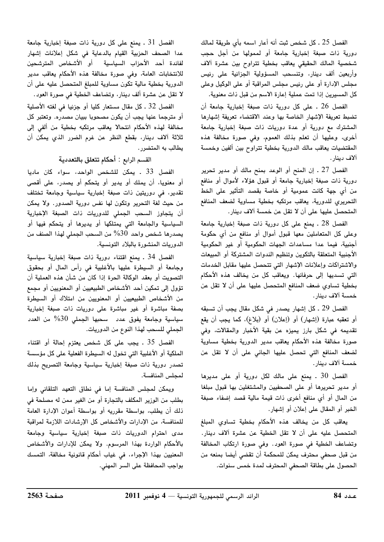الفصل 25 ـ كل شخص ثبت أنه أعار اسمه بأي طريقة لمالك دورية ذات صبغة إخبارية جامعة أو لممولها من أجل حجب شخصية المالك الحقيقى يعاقب بخطية تتراوح بين عشرة آلاف وأربعين ألف دينار، وتنسحب المسؤولية الجزائية على رئيس مجلس الإدارة أو على رئيس مجلس المراقبة أو على الوكيل وعلى كل المسيرين إذا تمت عملية إعارة الاسم من قبل ذات معنوية.

الفصل 26 . على كل دورية ذات صبغة إخبارية جامعة أن تضبط تعريفة الإشهار الخاصة بها وعند الاقتضاء تعريفة إشهارها المشترك مع دورية أو عدة دوريات ذات صبغة إخبارية جامعة أخرى، وعليها أن تعلم بذلك العموم، وفي صورة مخالفة هذه المقتضيات يعاقب مالك الدورية بخطية تتراوح بين ألفين وخمسة آلاف دينار.

الفصل 27 . إن المنح أو الوعد بمنح مالك أو مدير تحرير دورية ذات صبغة إخبارية جامعة أو قبول هؤلاء لأموال أو منافع من أي جهة كانت عمومية أو خاصة بقصد التأثير على الخط التحريري للدورية، يعاقب مرتكبه بخطية مساوية لضعف المنافع المتحصل عليها على أن لا تقل عن خمسة آلاف دينار.

الفصل 28 . يمنع على كل دورية ذات صبغة إخبارية جامعة وعلى كل المتعاملين معها قبول أموال أو منافع من أى حكومة أجنبية، فيما عدا مساعدات الجهات الحكومية أو غير الحكومية الأجنبية المتعلقة بالتكوين وتنظيم الندوات المشتركة أو المبيعات والاشتراكات وإعلانات الإشهار التى تتحصل عليها مقابل الخدمات التي تسديها إلى حرفائها. ويعاقب كل من يخالف هذه الأحكام بخطية تساوي ضعف المنافع المتحصل عليها على أن لا تقل عن خمسة آلاف دينار.

الفصل 29 ـ كل إشهار يصدر في شكل مقال يجب أن تسبقه أو تعقبه عبارة (إشهار) أو (إعلان) أو (بلاغ)، كما يجب أن يقع تقديمه في شكل بارز يميزه عن بقية الأخبار والمقالات، وفي صورة مخالفة هذه الأحكام يعاقب مدير الدورية بخطية مساوية لضعف المنافع التي تحصل عليها الجاني على أن لا تقل عن خمسة آلاف دينار.

الفصل 30 . يمنع على مالك لكل دورية أو على مديرها أو مدير تحريرها أو على الصحفيين والمشتغلين بها قبول مبلغا من المال أو أى منافع أخرى ذات قيمة مالية قصد إضفاء صبغة الخبر أو المقال على إعلان أو إشهار.

يعاقب كل من يخالف هذه الأحكام بخطية تساوي المبلغ المتحصل عليه على أن لا تقل الخطية عن عشرة آلاف دينار. وتضاعف الخطية فى صورة العود. وفى صورة ارتكاب المخالفة من قبل صحفى محترف يمكن للمحكمة أن تقضى أيضا بمنعه من الحصول على بطاقة الصحفى المحترف لمدة خمس سنوات.

الفصل 31 . يمنع على كل دورية ذات صبغة إخبارية جامعة عدا الصحف الحزبية القيام بالدعاية في شكل إعلانات إشهار لفائدة أحد الأحزاب السياسية أو الأشخاص المترشحين للانتخابات العامة، وفى صورة مخالفة هذه الأحكام يعاقب مدير الدورية بخطية مالية تكون مساوية للمبلغ المتحصل عليه على أن لا تقل عن عشرة ألف دينار، وتضاعف الخطية في صورة العود.

الفصل 32 . كل مقال مستعار كليا أو جزئيا في لغته الأصلية أو مترجما عنها يجب أن يكون مصحوبا ببيان مصدره. وتعتبر كل مخالفة لهذه الأحكام انتحالا يعاقب مرتكبه بخطية من ألفى إلى ثلاثة آلاف دينار، بقطع النظر عن غرم الضرر الذي يمكن أن يطالب به المتضرر.

القسم الرابع : أحكام تتعلق بالتعددية

الفصل 33 . يمكن للشخص الواحد، سواء كان ماديا أو معنويا، أن يملك أو يدير أو يتحكم أو يصدر، على أقصى تقدير، في دوريتين ذات صبغة إخبارية سياسية وجامعة تختلف من حيث لغة التحرير وتكون لها نفس دورية الصدور. ولا يمكن أن يتجاوز السحب الجملى للدوريات ذات الصبغة الإخبارية السياسية والجامعة التى يمتلكها أو يديرها أو يتحكم فيها أو يصدرها شخص واحد 30% من السحب الجملي لهذا الصنف من الدوريات المنشورة بالبلاد التونسية.

الفصل 34 . يمنع اقتناء دورية ذات صبغة إخبارية سياسية وجامعة أو السيطرة عليها بالأغلبية في رأس المال أو بحقوق التصويت أو بعقد الوكالة الحرة إذا كان من شأن هذه العملية أن تؤول إلى تمكين أحد الأشخاص الطبيعيين أو المعنويين أو مجمع من الأشخاص الطبيعيين أو المعنويين من امتلاك أو السيطرة بصفة مباشرة أو غير مباشرة على دوريات ذات صبغة إخبارية سياسية وجامعة يفوق عدد سحبها الجملي 30% من العدد الجملي للسحب لهذا النوع من الدوريات.

الفصل 35 . يجب على كل شخص يعتزم إحالة أو اقتناء الملكية أو الأغلبية التي تخول له السيطرة الفعلية على كل مؤسسة تصدر دورية ذات صبغة إخبارية سياسية وجامعة التصريح بذلك لمجلس المنافسة.

ويمكن لمجلس المنافسة إما فى نطاق التعهد التلقائى وإما بطلب من الوزير المكلف بالتجارة أو من الغير ممن له مصلحة في ذلك أن يطلب، بواسطة مقرريه أو بواسطة أعوان الإدارة العامة للمنافسة، من الإدارات والأشخاص كل الإرشادات اللازمة لمراقبة مدى احترام الدوريات ذات صبغة إخبارية سياسية وجامعة بالأحكام الواردة بهذا المرسوم. ولا يمكن للإدارات والأشخاص المعنيين بهذا الإجراء، في غياب أحكام قانونية مخالفة، التمسك بواجب المحافظة على السر المهني.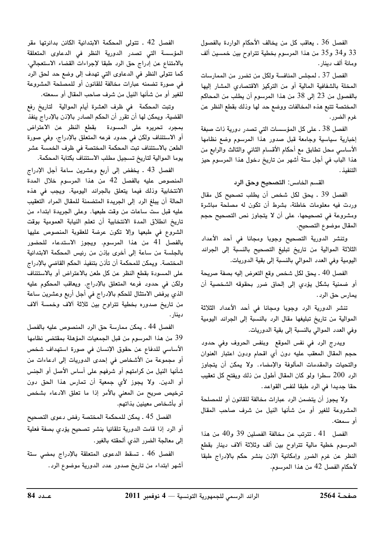الفصل 36 . يعاقب كل من يخالف الأحكام الواردة بالفصول 33 و34 و35 من هذا المرسوم بخطية تتراوح بين خمسين ألف ومائة ألف دينار .

الفصل 37 ـ لمجلس المنافسة ولكل من تضرر من الممارسات المخلة بالشفافية المالية أو من التركيز الاقتصادى المشار إليها بالفصول من 23 إلى 38 من هذا المرسوم أن يطلب من المحاكم المختصة تتبع هذه المخالفات ووضع حد لها وذلك بقطع النظر عن غرم الضرر.

الفصل 38 ـ على كل المؤسسات التي تصدر دورية ذات صبغة إخبارية سياسية وجامعة قبل صدور هذا المرسوم وضع نظامها الأساسي محل تطابق مع أحكام الأقسام الثاني والثالث والرابع من هذا الباب في أجل ستة أشهر من تاريخ دخول هذا المرسوم حيز التنفيذ .

القسم الخامس: التصحيح وحق الرد

الفصل 39 . يحق لكل شخص أن يطلب تصحيح كل مقال وردت فيه معلومات خاطئة، بشرط أن تكون له مصلحة مباشرة ومشروعة في تصحيحها، على أن لا يتجاوز نص التصحيح حجم المقال موضوع التصحيح.

وتنشر الدورية التصحيح وجوبا ومجانا فى أحد الأعداد الثلاثة الموالية من تاريخ تبليغ التصحيح بالنسبة إلى الجرائد اليومية وفي العدد الموالي بالنسبة إلى بقية الدوريات.

الفصل 40 ـ يحق لكل شخص وقع التعرض إليه بصفة صريحة أو ضمنية بشكل يؤدي إلى إلحاق ضرر بحقوقه الشخصية أن يمارس حق الرد .

تنشر الدورية الرد وجوبا ومجانا فى أحد الأعداد الثلاثة الموالية من تاريخ تبليغها مقال الرد بالنسبة إلى الجرائد اليومية وفي العدد الموالي بالنسبة إلى بقية الدوريات.

ويدرج الرد فى نفس الموقع وبنفس الحروف وفى حدود حجم المقال المعقب عليه دون أي اقحام ودون اعتبار العنوان والتحيات والمقدمات المألوفة والإمضاء. ولا يمكن أن يتجاوز الرد 200 سطرا ولو كان المقال أطول من ذلك ويفتح كل تعقيب حقا جديدا في الرد طبقا لنفس القواعد.

ولا يجوز أن يتضمن الرد عبارات مخالفة للقانون أو للمصلحة المشروعة للغير أو من شأنها النيل من شرف صاحب المقال أو سمعته.

الفصل 41 ـ تترتب عن مخالفة الفصلين 39 و40 من هذا المرسوم خطية مالية تتراوح بين ألف وثلاثة آلاف دينار بقطع النظر عن غرم الضرر وإمكانية الإذن بنشر حكم بالإدراج طبقا لأحكام الفصل 42 من هذا المرسوم.

الفصل 42 . تتولى المحكمة الابتدائية الكائن بدائرتها مقر المؤسسة التي تصدر الدورية النظر في الدعاوى المتعلقة بالامتناع عن إدراج حق الرد طبقا لإجراءات القضاء الاستعجالي، كما تتولى النظر في الدعاوى التي تهدف إلى وضع حد لحق الرد في صورة تضمنه عبارات مخالفة للقانون أو للمصلحة المشروعة للغير أو من شأنها النيل من شرف صاحب المقال أو سمعته.

وتبت المحكمة في ظرف العشرة أيام الموالية لتاريخ رفع القضية، ويمكن لها أن تقرر أن الحكم الصادر بالإذن بالإدراج ينفذ بمجرد تحريره على المسودة بقطع النظر عن الاعتراض أو الاستئناف ولكن في حدود فرعه المتعلق بالإدراج، وفي صورة الطعن بالاستئناف تبت المحكمة المختصة في ظرف الخمسة عشر يوما الموالية لتاريخ تسجيل مطلب الاستئناف بكتابة المحكمة.

الفصل 43 . يخفض إلى أربع وعشرين ساعة أجل الإدراج المنصوص عليه بالفصل 42 من هذا المرسوم خلال المدة الانتخابية وذلك فيما يتعلق بالجرائد اليومية. ويجب فى هذه الحالة أن يبلغ الرد إلى الجريدة المتضمنة للمقال المراد التعقيب عليه قبل ست ساعات من وقت طبعها. وعلى الجريدة ابتداء من تاريخ انطلاق المدة الانتخابية أن تعلم النيابة العمومية بوقت الشروع في طبعها وإلا تكون عرضة للعقوبة المنصوص عليها بالفصل 41 من هذا المرسوم. ويجوز الاستدعاء للحضور بالجلسة من ساعة إلى أخرى بإذن من رئيس المحكمة الابتدائية المختصة. ويمكن للمحكمة أن تأنن بتنفيذ الحكم القاضي بالإدراج على المسودة بقطع النظر عن كل طعن بالاعتراض أو بالاستئناف ولكن في حدود فرعه المتعلق بالإدراج. ويعاقب المحكوم عليه الذي يرفض الامتثال للحكم بالإدراج في أجل أربع وعشرين ساعة من تاريخ صدوره بخطية تتراوح بين ثلاثة آلاف وخمسة آلاف دينار .

الفصل 44 ـ يمكن ممارسة حق الرد المنصوص عليه بالفصل 39 من هذا المرسوم من قبل الجمعيات المؤهلة بمقتضى نظامها الأساسي للدفاع عن حقوق الإنسان في صورة استهداف شخص أو مجموعة من الأشخاص في إحدى الدوريات إلى ادعاءات من شأنها النيل من كرامتهم أو شرفهم على أساس الأصل أو الجنس أو الدين. ولا يجوز لأي جمعية أن تمارس هذا الحق دون ترخيص صريح من المعنى بالأمر إذا ما تعلق الادعاء بشخص أو بأشخاص معينين بذاتهم.

الفصل 45 . يمكن للمحكمة المختصة رفض دعوى التصحيح أو الرد إذا قامت الدورية تلقائيا بنشر تصحيح يؤدي بصفة فعلية إلى معالجة الضرر الذي ألحقته بالغير.

الفصل 46 . تسقط الدعوى المتعلقة بالإدراج بمضى ستة أشهر ابتداء من تاريخ صدور عدد الدورية موضوع الرد.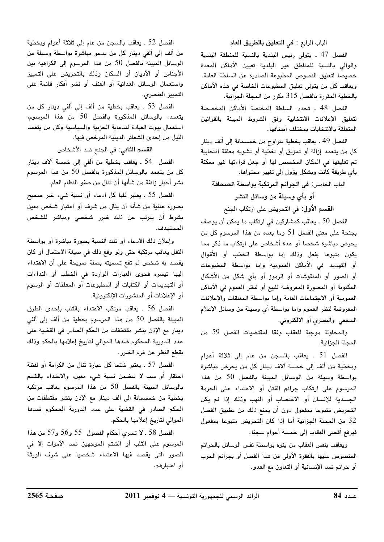## الباب الرابع : في التعليق بالطريق العام

الفصل 47 . يتولى رئيس البلدية بالنسبة للمنطقة البلدية والوالى بالنسبة للمناطق غير البلدية تعيين الأماكن المعدة خصيصا لتعليق النصوص المطبوعة الصادرة عن السلطة العامة. ويعاقب كل من يتولى تعليق المطبوعات الخاصة في هذه الأماكن بالخطية المقررة بالفصل 315 مكرر من المجلة الجزائية.

الفصل 48 . تحدد السلطة المختصة الأماكن المخصصة لتعليق الإعلانات الانتخابية وفق الشروط المبينة بالقوانين المتعلقة بالانتخابات بمختلف أصنافها.

الفصل 49 ـ يعاقب بخطية تتراوح من خمسمائة إلى ألف دينار كل من يتعمد إزالة أو تمزيق أو تغطية أو تشويه معلقة انتخابية تم تعليقها في المكان المخصص لها أو جعل قراءتها غير ممكنة بأى طريقة كانت وبشكل يؤول إلى تغيير محتواها.

الباب الخامس: في الجرائم المرتكبة بواسطة الصحافة

أو بأى وسيلة من وسائل النشر

القسم الأول: في التحريض على ارتكاب الجنح

الفصل 50 . يعاقب كمشاركين في ارتكاب ما يمكن أن يوصف بجنحة على معنى الفصل 51 وما بعده من هذا المرسوم كل من يحرض مباشرة شخصا أو عدة أشخاص على ارتكاب ما ذكر مما يكون متبوعا بفعل وذلك إما بواسطة الخطب أو الأقوال أو التهديد في الأماكن العمومية وإما بواسطة المطبوعات أو الصور أو المنقوشات أو الرموز أو بأي شكل من الأشكال المكتوبة أو المصورة المعروضة للبيع أو لنظر العموم في الأماكن العمومية أو الاجتماعات العامة وإما بواسطة المعلقات والإعلانات المعروضة لنظر العموم وإما بواسطة أي وسيلة من وسائل الإعلام السمعي والبصري أو الالكتروني.

والمحاولة موجبة للعقاب وفقا لمقتضيات الفصل 59 من المجلة الجزائية.

الفصل 51 . يعاقب بالسجن من عام إلى ثلاثة أعوام وبخطية من ألف إلى خمسة آلاف دينار كل من يحرض مباشرة بواسطة وسيلة من الوسائل المبينة بالفصل 50 من هذا المرسوم على ارتكاب جرائم القتل أو الاعتداء على الحرمة الجسدية للإنسان أو الاغتصاب أو النهب وذلك إذا لم يكن التحريض متبوعا بمفعول دون أن يمنع ذلك من تطبيق الفصل 32 من المجلة الجزائية أما إذا كان التحريض متبوعا بمفعول فيرفع أقصى العقاب إلى خمسة أعوام سجنا.

ويعاقب بنفس العقاب من ينوه بواسطة نفس الوسائل بالجرائم المنصوص عليها بالفقرة الأولى من هذا الفصل أو بجرائم الحرب أو جرائم ضد الإنسانية أو التعاون مع العدو.

الفصل 52 ـ يعاقب بالسجن من عام إلى ثلاثة أعوام وبخطية من ألف إلى ألفى دينار كل من يدعو مباشرة بواسطة وسيلة من الوسائل المبينة بالفصل 50 من هذا المرسوم إلى الكراهية بين الأجناس أو الأديان أو السكان وذلك بالتحريض على التمييز واستعمال الوسائل العدائية أو العنف أو نشر أفكار قائمة على التمييز العنصري.

الفصل 53 . يعاقب بخطية من ألف إلى ألفى دينار كل من يتعمد، بالوسائل المذكورة بالفصل 50 من هذا المرسوم، استعمال بيوت العبادة للدعاية الحزبية والسياسية وكل من يتعمد النيل من إحدى الشعائر الدينية المرخص فيها.

القسم الثاني: في الجنح ضد الأشخاص

الفصل 54 . يعاقب بخطية من ألفي إلى خمسة آلاف دينار كل من يتعمد بالوسائل المذكورة بالفصل 50 من هذا المرسوم نشر أخبار زائفة من شأنها أن تنال من صفو النظام العام.

الفصل 55 . يعتبر ثلبا كل ادعاء أو نسبة شيء غير صحيح بصورة علنية من شأنه أن ينال من شرف أو اعتبار شخص معين بشرط أن يترتب عن ذلك ضرر شخصى ومباشر للشخص المستهدف.

وإعلان ذلك الادعاء أو تلك النسبة بصورة مباشرة أو بواسطة النقل يعاقب مرتكبه حتى ولو وقع ذلك في صيغة الاحتمال أو كان يقصد به شخص لم تقع تسميته بصفة صريحة على أن الاهتداء إليها تيسره فحوى العبارات الواردة فى الخطب أو النداءات أو التهديدات أو الكتابات أو المطبوعات أو المعلقات أو الرسوم أو الإعلانات أو المنشورات الإلكترونية.

الفصل 56 . يعاقب مرتكب الاعتداء بالثلب بإحدى الطرق المبينة بالفصل 50 من هذا المرسوم بخطية من ألف إلى ألفي دينار مع الإذن بنشر مقتطفات من الحكم الصادر في القضية على عدد الدورية المحكوم ضدها الموالي لتاريخ إعلامها بالحكم وذلك بقطع النظر عن غرم الضرر.

الفصل 57 . يعتبر شتما كل عبارة تنال من الكرامة أو لفظة احتقار أو سب لا تتضمن نسبة شيء معين، والاعتداء بالشتم بالوسائل المبينة بالفصل 50 من هذا المرسوم يعاقب مرتكبه بخطية من خمسمائة إلى ألف دينار مع الإذن بنشر مقتطفات من الحكم الصادر فى القضية على عدد الدورية المحكوم ضدها الموالي لتاريخ إعلامها بالحكم.

الفصل 58 ـ لا تسري أحكام الفصول ۔55 و56 و57 من هذا المرسوم على الثلب أو الشتم الموجهين ضد الأموات إلا في الصور التى يقصد فيها الاعتداء شخصيا على شرف الورثة أو اعتبارهم.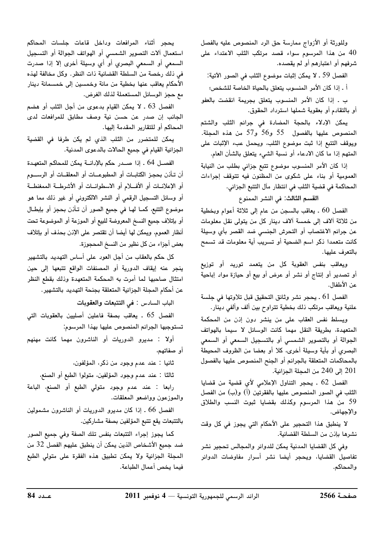وللورثة أو الأزواج ممارسة حق الرد المنصوص عليه بالفصل 40 من هذا المرسوم سواء قصد مرتكب الثلب الاعتداء على شرفهم أو اعتبارهم أو لم يقصده.

الفصل 59 ـ لا يمكن إثبات موضوع الثلب في الصور الآتية: أ . إذا كان الأمر المنسوب يتعلق بالحياة الخاصة للشخص؛

ب . إذا كان الأمر المنسوب يتعلق بجريمة انقضت بالعفو أو بالتقادم أو بعقوبة شملها استرداد الحقوق.

يمكن الإدلاء بالحجة المضادة في جرائم الثلب والشتم المنصوص عليها بالفصول 55 و56 و57 من هذه المجلة. ويوقف التتبع إذا ثبت موضوع الثلب، ويحمل عبء الإثبات على المتهم إذا ما كان الادعاء أو نسبة الشيء يتعلق بالشأن العام.

إذا كان الأمر المنسوب موضوع تتبع جزائى بطلب من النيابة العمومية أو بناء على شكوى من المظنون فيه تتوقف إجراءات المحاكمة في قضية الثلب في انتظار مآل التتبع الجزائي.

القسم الثالث: في النشر الممنوع

الفصل 60 . يعاقب بالسجن من عام إلى ثلاثة أعوام وبخطية من ثلاثة آلاف إلى خمسة آلاف دينار كل من يتولى نقل معلومات عن جرائم الاغتصاب أو التحرش الجنسى ضد القصر بأي وسيلة كانت متعمدا ذكر اسم الضحية أو تسريب أية معلومات قد تسمح بالتعرف عليها.

ويعاقب بنفس العقوبة كل من يتعمد توريد أو توزيع أو تصدير أو إنتاج أو نشر أو عرض أو بيع أو حيازة مواد إباحية عن الأطفال.

الفصل 61 . يحجر نشر وثائق التحقيق قبل تلاوتها في جلسة علنية ويعاقب مرتكب ذلك بخطية تتراوح بين ألف وألفى دينار.

ويسلط نفس العقاب على من ينشر دون إذن من المحكمة المتعهدة، بطريقة النقل مهما كانت الوسائل لا سيما بالهواتف الجوالة أو بالتصوير الشمسى أو بالتسجيل السمعى أو السمعى البصري أو بأية وسيلة أخرى، كلا أو بعضا من الظروف المحيطة بالمحاكمات المتعلقة بالجرائم أو الجنح المنصوص عليها بالفصول 201 إلى 240 من المجلة الجزائية.

الفصل 62 . يحجر التناول الإعلامي لأي قضية من قضايا الثلب في الصور المنصوص عليها بالفقرتين (أ) و(ب) من الفصل 59 من هذا المرسوم وكذلك بقضايا ثبوت النسب والطلاق والإجهاض.

لا ينطبق هذا التحجير على الأحكام التي يجوز في كل وقت نشرها بإذن من السلطة القضائية.

وفي كل القضايا المدنية يمكن للدوائر والمجالس تحجير نشر تفاصيل القضايا، ويحجر أيضا نشر أسرار مفاوضات الدوائر والمحاكم.

يحجر أثناء المرافعات وداخل قاعات جلسات المحاكم استعمال آلات التصوير الشمسى أو الهواتف الجوالة أو التسجيل السمعي أو السمعي البصري أو أي وسيلة أخرى إلا إذا صدرت في ذلك رخصة من السلطة القضائية ذات النظر. وكل مخالفة لهذه الأحكام يعاقب عنها بخطية من مائة وخمسين إلى خمسمائة دينار مع حجز الوسائل المستعملة لذلك الغرض.

الفصل 63 . لا يمكن القيام بدعوى من أجل الثلب أو هضم الجانب إن صدر عن حسن نية وصف مطابق للمرافعات لدى المحاكم أو للتقارير المقدمة إليها.

يمكن للمتضرر من الثلب الذي لم يكن طرفا في القضية الجزائية القيام في جميع الحالات بالدعوى المدنية.

الفصـل 64 . إذا صـدر حكم بالإدانــة يمكن للمحاكم المتعهـدة أن تـأذن بحجـز الكتابــات أو المطبوعـــات أو المعلقــات أو الرســــوم أو الإعلانـات أو الأفــلام أو الاسطوانــات أو الأشرطــة الممغنطــة أو وسائل التسجيل الرقمي أو النشر الالكتروني أو غير ذلك مما هو موضوع التتبع، كمــا لهـا في جميع الصور أن تـأذن بحجز أو بإبطــال أو بإتلاف جميع النسخ المعروضة للبيع أو الموزعة أو الموضوعة تحت أنظار العموم، ويمكن لها أيضا أن تقتصر على الإنن بحذف أو بإتلاف بعض أجزاء من كل نظير من النسخ المحجوزة.

كل حكم بالعقاب من أجل العود على أساس التهديد بالتشهير ينجر عنه إيقاف الدورية أو المصنفات الواقع تتبعها إلى حين امتثال صاحبها لما أمرت به المحكمة المتعهدة وذلك بقطع النظر عن أحكام المجلة الجزائية المتعلقة بجنحة التهديد بالتشهير.

الباب السادس : <mark>في التتبعات والعقوبات</mark>

الفصل 65 . يعاقب بصفة فاعلين أصليين بالعقوبات التى تستوجبها الجرائم المنصوص عليها بهذا المرسوم:

أولا : مديرو الدوريات أو الناشرون مهما كانت مهنهم أو صفاتهم،

ثانيا : عند عدم وجود من ذكر، المؤلفون،

ثالثا : عند عدم وجود المؤلفين، متولوا الطبع أو الصنع،

رابعا : عند عدم وجود متولى الطبع أو الصنع، الباعة والموزعون وواضعو المعلقات.

الفصل 66 . إذا كان مديرو الدوريات أو الناشرون مشمولين بالتتبعات يقع تتبع المؤلفين بصفة مشاركين.

كما يجوز إجراء التتبعات بنفس تلك الصفة وفي جميع الصور ضد جميع الأشخاص الذين يمكن أن ينطبق عليهم الفصل 32 من المجلة الجزائية ولا يمكن تطبيق هذه الفقرة على متولى الطبع فيما يخص أعمال الطباعة.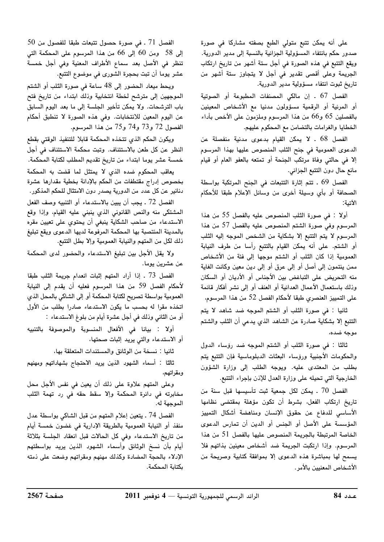على أنه يمكن تتبع متولي الطبع بصفته مشاركا في صورة صدور حكم بانتفاء المسؤولية الجزائية بالنسبة إلى مدير الدورية. ويقع التتبع في هذه الصورة في أجل ستة أشهر من تاريخ ارتكاب الجريمة وعلى أقصى تقدير فى أجل لا يتجاوز ستة أشهر من تاريخ ثبوت انتفاء مسؤولية مدير الدورية.

الفصل 67 . إن مالكي المصنفات المطبوعة أو الصوتية أو المرئية أو الرقمية مسؤولون مدنيا مع الأشخاص المعينين بالفصلين 65 و66 من هذا المرسوم وملزمون على الأخص بأداء الخطايا والغرامات بالتضامن مع المحكوم عليهم.

الفصل 68 . لا يمكن القيام بدعوى مدنية منفصلة عن الدعوى العمومية في جنح الثلب المنصوص عليها بهذا المرسوم إلا في حالتي وفاة مرتكب الجنحة أو تمتعه بالعفو العام أو قيام مانع حال دون التتبع الجزائي.

الفصل 69 . تتم إثارة التتبعات في الجنح المرتكبة بواسطة الصحافة أو بأي وسيلة أخرى من وسائل الإعلام طبقا للأحكام الأتية:

أولا : في صورة الثلب المنصوص عليه بالفصل 55 من هذا المرسوم وفي صورة الشتم المنصوص عليه بالفصل 57 من هذا المرسوم لا يتم التتبع إلا بشكاية من الشخص الموجه إليه الثلب أو الشتم. على أنه يمكن القيام بالتتبع رأسا من طرف النيابة العمومية إذا كان الثلب أو الشتم موجها إلى فئة من الأشخاص ممن ينتمون إلى أصل أو إلى عرق أو إلى دين معين وكانت الغاية منه التحريض على التباغض بين الأجناس أو الأديان أو السكان وذلك باستعمال الأعمال العدائية أو العنف أو إلى نشر أفكار قائمة على التمييز العنصري طبقا لأحكام الفصل 52 من هذا المرسوم،

ثانيا : في صورة الثلب أو الشتم الموجه ضد شاهد لا يتم التتبع إلا بشكاية صادرة عن الشاهد الذي يدعى أن الثلب والشتم موجه ضده،

ثالثًا : في صورة الثلب أو الشتم الموجه ضد رؤساء الدول والحكومات الأجنبية ورؤساء البعثات الدبلوماسية فإن التتبع يتم بطلب من المعتدى عليه. ويوجه الطلب إلى وزارة الشؤون الخارجية التي تحيله على وزارة العدل للإذن بإجراء التتبع.

الفصل 70 . يمكن لكل جمعية ثبت تأسيسها قبل سنة من تاريخ ارتكاب الفعل، بشرط أن تكون مؤهلة بمقتضى نظامها الأساسى للدفاع عن حقوق الإنسان ومناهضة أشكال التمييز المؤسسة على الأصل أو الجنس أو الدين أن تمارس الدعوى الخاصة المرتبطة بالجريمة المنصوص عليها بالفصل 51 من هذا المرسوم. وإذا ارتكبت الجريمة ضد أشخاص معينين بذاتهم فلا يسمح لها بمباشرة هذه الدعوى إلا بموافقة كتابية وصريحة من الأشخاص المعنيين بالأمر.

 $50$  الفصل  $71$  . في صورة حصول تتبعات طبقا للفصول من إلى 58 ومن 60 إلى 66 من هذا المرسوم على المحكمة التي تنظر في الأصل بعد سماع الأطراف المعنية وفي أجل خمسة عشر يوما أن تبت بحجرة الشورى في موضوع التتبع.

ويحط ميعاد الحضور إلى 48 ساعة في صورة الثلب أو الشتم الموجهين إلى مترشح لخطة انتخابية وذلك ابتداء من تاريخ فتح باب الترشحات. ولا يمكن تأخير الجلسة إلى ما بعد اليوم السابق عن اليوم المعين للانتخابات. وفي هذه الصورة لا تنطبق أحكام الفصول 72 و73 و74 و75 من هذا المرسوم.

ويكون الحكم الذي تتخذه المحكمة قابلا للتنفيذ الوقتى بقطع النظر عن كل طعن بالاستئناف. وتبت محكمة الاستئناف في أجل خمسة عشر يوما ابتداء من تاريخ تقديم المطلب لكتابة المحكمة.

يعاقب المحكوم ضده الذي لا يمتثل لما قضت به المحكمة بخصوص إدراج مقتطفات من الحكم بالإدانة بخطية مقدارها عشرة دنانير عن كل عدد من الدورية يصدر دون الامتثال للحكم المذكور.

الفصل 72 . يجب أن يبين بالاستدعاء أو التنبيه وصف الفعل المشتكى منه والنص القانوني الذي ينبني عليه القيام، وإذا وقع الاستدعاء من صاحب الشكاية ينبغي أن يحتوي على تعيين مقره بالمدينة المنتصبة بها المحكمة المرفوعة لديها الدعوى ويقع تبليغ ذلك لكل من المتهم والنيابة العمومية وإلا بطل التتبع.

ولا يقل الأجل بين تبليغ الاستدعاء والحضور لدى المحكمة عن عشرين يوما.

الفصل 73 ـ إذا أراد المتهم إثبات انعدام جريمة الثلب طبقا لأحكام الفصل 59 من هذا المرسوم فعليه أن يقدم إلى النيابة العمومية بواسطة تصريح لكتابة المحكمة أو إلى الشاكى بالمحل الذي اتخذه مقرا له بحسب ما يكون الاستدعاء صادرا بطلب من الأول أو من الثاني وذلك في أجل عشرة أيام من بلوغ الاستدعاء :

أولا : بيانا في الأفعال المنسوبة والموصوفة بالتنبيه أو الاستدعاء والتي يريد إثبات صحتها،

ثانيا : نسخة من الوثائق والمستندات المتعلقة بها،

ثالثا : أسماء الشهود الذين يريد الاحتجاج بشهاداتهم ومهنهم ومقراتهم،

وعلى المتهم علاوة على ذلك أن يعين في نفس الأجل محل مخابرته في دائرة المحكمة وإلا سقط حقه في رد تهمة الثلب الموجهة له.

الفصل 74 ـ يتعين إعلام المتهم من قبل الشاكي بواسطة عدل منفذ أو النيابة العمومية بالطريقة الإدارية في غضون خمسة أيام من تاريخ الاستدعاء وفى كل الحالات قبل انعقاد الجلسة بثلاثة أيام بأن نسخ الوثائق وأسماء الشهود الذين يريد بواسطتهم الإدلاء بالحجة المضادة وكذلك مهنهم ومقراتهم وضعت على ذمته بكتابة المحكمة.